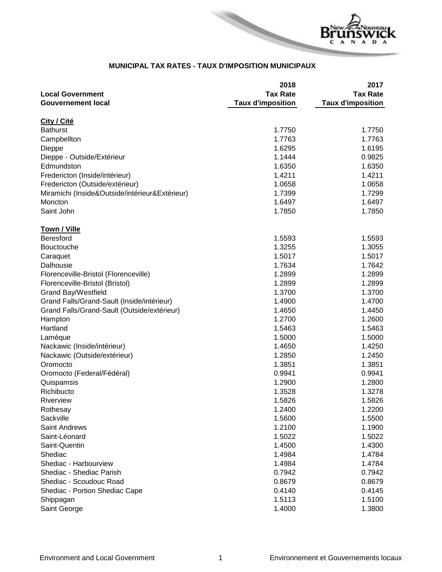

## **MUNICIPAL TAX RATES - TAUX D'IMPOSITION MUNICIPAUX**

| <b>Tax Rate</b><br><b>Tax Rate</b><br><b>Local Government</b><br><b>Gouvernement local</b><br><b>Taux d'imposition</b><br><b>Taux d'imposition</b><br>City / Cité<br><b>Bathurst</b><br>1.7750<br>1.7750<br>1.7763<br>1.7763<br>Campbellton<br>1.6295<br>1.6195<br>Dieppe<br>1.1444<br>0.9825<br>Dieppe - Outside/Extérieur<br>1.6350<br>Edmundston<br>1.6350<br>1.4211<br>1.4211<br>Fredericton (Inside/intérieur)<br>Fredericton (Outside/extérieur)<br>1.0658<br>1.0658<br>1.7299<br>Miramichi (Inside&Outside/intérieur&Extérieur)<br>1.7399<br>Moncton<br>1.6497<br>1.6497<br>Saint John<br>1.7850<br>1.7850<br><b>Town / Ville</b><br><b>Beresford</b><br>1.5593<br>1.5593<br>Bouctouche<br>1.3255<br>1.3055<br>1.5017<br>1.5017<br>Caraquet<br>Dalhousie<br>1.7634<br>1.7642<br>1.2899<br>1.2899<br>Florenceville-Bristol (Florenceville)<br>1.2899<br>1.2899<br>Florenceville-Bristol (Bristol)<br>Grand Bay/Westfield<br>1.3700<br>1.3700<br>Grand Falls/Grand-Sault (Inside/intérieur)<br>1.4900<br>1.4700<br>1.4650<br>1.4450<br>Grand Falls/Grand-Sault (Outside/extérieur)<br>1.2700<br>1.2600<br>Hampton<br>Hartland<br>1.5463<br>1.5463<br>Lamèque<br>1.5000<br>1.5000<br>Nackawic (Inside/intérieur)<br>1.4650<br>1.4250<br>Nackawic (Outside/extérieur)<br>1.2850<br>1.2450<br>1.3851<br>1.3851<br>Oromocto<br>0.9941<br>0.9941<br>Oromocto (Federal/Fédéral)<br>Quispamsis<br>1.2900<br>1.2800<br>Richibucto<br>1.3528<br>1.3278<br>1.5826<br>1.5826<br>Riverview<br>1.2400<br>1.2200<br>Rothesay<br>Sackville<br>1.5600<br>1.5500<br><b>Saint Andrews</b><br>1.2100<br>1.1900<br>Saint-Léonard<br>1.5022<br>1.5022<br>Saint-Quentin<br>1.4500<br>1.4300<br>1.4784<br>Shediac<br>1.4984<br>Shediac - Harbourview<br>1.4984<br>1.4784 |                          | 2018   | 2017   |
|--------------------------------------------------------------------------------------------------------------------------------------------------------------------------------------------------------------------------------------------------------------------------------------------------------------------------------------------------------------------------------------------------------------------------------------------------------------------------------------------------------------------------------------------------------------------------------------------------------------------------------------------------------------------------------------------------------------------------------------------------------------------------------------------------------------------------------------------------------------------------------------------------------------------------------------------------------------------------------------------------------------------------------------------------------------------------------------------------------------------------------------------------------------------------------------------------------------------------------------------------------------------------------------------------------------------------------------------------------------------------------------------------------------------------------------------------------------------------------------------------------------------------------------------------------------------------------------------------------------------------------------------------------------------------------------------------------------------------------------------------------|--------------------------|--------|--------|
|                                                                                                                                                                                                                                                                                                                                                                                                                                                                                                                                                                                                                                                                                                                                                                                                                                                                                                                                                                                                                                                                                                                                                                                                                                                                                                                                                                                                                                                                                                                                                                                                                                                                                                                                                        |                          |        |        |
|                                                                                                                                                                                                                                                                                                                                                                                                                                                                                                                                                                                                                                                                                                                                                                                                                                                                                                                                                                                                                                                                                                                                                                                                                                                                                                                                                                                                                                                                                                                                                                                                                                                                                                                                                        |                          |        |        |
|                                                                                                                                                                                                                                                                                                                                                                                                                                                                                                                                                                                                                                                                                                                                                                                                                                                                                                                                                                                                                                                                                                                                                                                                                                                                                                                                                                                                                                                                                                                                                                                                                                                                                                                                                        |                          |        |        |
|                                                                                                                                                                                                                                                                                                                                                                                                                                                                                                                                                                                                                                                                                                                                                                                                                                                                                                                                                                                                                                                                                                                                                                                                                                                                                                                                                                                                                                                                                                                                                                                                                                                                                                                                                        |                          |        |        |
|                                                                                                                                                                                                                                                                                                                                                                                                                                                                                                                                                                                                                                                                                                                                                                                                                                                                                                                                                                                                                                                                                                                                                                                                                                                                                                                                                                                                                                                                                                                                                                                                                                                                                                                                                        |                          |        |        |
|                                                                                                                                                                                                                                                                                                                                                                                                                                                                                                                                                                                                                                                                                                                                                                                                                                                                                                                                                                                                                                                                                                                                                                                                                                                                                                                                                                                                                                                                                                                                                                                                                                                                                                                                                        |                          |        |        |
|                                                                                                                                                                                                                                                                                                                                                                                                                                                                                                                                                                                                                                                                                                                                                                                                                                                                                                                                                                                                                                                                                                                                                                                                                                                                                                                                                                                                                                                                                                                                                                                                                                                                                                                                                        |                          |        |        |
|                                                                                                                                                                                                                                                                                                                                                                                                                                                                                                                                                                                                                                                                                                                                                                                                                                                                                                                                                                                                                                                                                                                                                                                                                                                                                                                                                                                                                                                                                                                                                                                                                                                                                                                                                        |                          |        |        |
|                                                                                                                                                                                                                                                                                                                                                                                                                                                                                                                                                                                                                                                                                                                                                                                                                                                                                                                                                                                                                                                                                                                                                                                                                                                                                                                                                                                                                                                                                                                                                                                                                                                                                                                                                        |                          |        |        |
|                                                                                                                                                                                                                                                                                                                                                                                                                                                                                                                                                                                                                                                                                                                                                                                                                                                                                                                                                                                                                                                                                                                                                                                                                                                                                                                                                                                                                                                                                                                                                                                                                                                                                                                                                        |                          |        |        |
|                                                                                                                                                                                                                                                                                                                                                                                                                                                                                                                                                                                                                                                                                                                                                                                                                                                                                                                                                                                                                                                                                                                                                                                                                                                                                                                                                                                                                                                                                                                                                                                                                                                                                                                                                        |                          |        |        |
|                                                                                                                                                                                                                                                                                                                                                                                                                                                                                                                                                                                                                                                                                                                                                                                                                                                                                                                                                                                                                                                                                                                                                                                                                                                                                                                                                                                                                                                                                                                                                                                                                                                                                                                                                        |                          |        |        |
|                                                                                                                                                                                                                                                                                                                                                                                                                                                                                                                                                                                                                                                                                                                                                                                                                                                                                                                                                                                                                                                                                                                                                                                                                                                                                                                                                                                                                                                                                                                                                                                                                                                                                                                                                        |                          |        |        |
|                                                                                                                                                                                                                                                                                                                                                                                                                                                                                                                                                                                                                                                                                                                                                                                                                                                                                                                                                                                                                                                                                                                                                                                                                                                                                                                                                                                                                                                                                                                                                                                                                                                                                                                                                        |                          |        |        |
|                                                                                                                                                                                                                                                                                                                                                                                                                                                                                                                                                                                                                                                                                                                                                                                                                                                                                                                                                                                                                                                                                                                                                                                                                                                                                                                                                                                                                                                                                                                                                                                                                                                                                                                                                        |                          |        |        |
|                                                                                                                                                                                                                                                                                                                                                                                                                                                                                                                                                                                                                                                                                                                                                                                                                                                                                                                                                                                                                                                                                                                                                                                                                                                                                                                                                                                                                                                                                                                                                                                                                                                                                                                                                        |                          |        |        |
|                                                                                                                                                                                                                                                                                                                                                                                                                                                                                                                                                                                                                                                                                                                                                                                                                                                                                                                                                                                                                                                                                                                                                                                                                                                                                                                                                                                                                                                                                                                                                                                                                                                                                                                                                        |                          |        |        |
|                                                                                                                                                                                                                                                                                                                                                                                                                                                                                                                                                                                                                                                                                                                                                                                                                                                                                                                                                                                                                                                                                                                                                                                                                                                                                                                                                                                                                                                                                                                                                                                                                                                                                                                                                        |                          |        |        |
|                                                                                                                                                                                                                                                                                                                                                                                                                                                                                                                                                                                                                                                                                                                                                                                                                                                                                                                                                                                                                                                                                                                                                                                                                                                                                                                                                                                                                                                                                                                                                                                                                                                                                                                                                        |                          |        |        |
|                                                                                                                                                                                                                                                                                                                                                                                                                                                                                                                                                                                                                                                                                                                                                                                                                                                                                                                                                                                                                                                                                                                                                                                                                                                                                                                                                                                                                                                                                                                                                                                                                                                                                                                                                        |                          |        |        |
|                                                                                                                                                                                                                                                                                                                                                                                                                                                                                                                                                                                                                                                                                                                                                                                                                                                                                                                                                                                                                                                                                                                                                                                                                                                                                                                                                                                                                                                                                                                                                                                                                                                                                                                                                        |                          |        |        |
|                                                                                                                                                                                                                                                                                                                                                                                                                                                                                                                                                                                                                                                                                                                                                                                                                                                                                                                                                                                                                                                                                                                                                                                                                                                                                                                                                                                                                                                                                                                                                                                                                                                                                                                                                        |                          |        |        |
|                                                                                                                                                                                                                                                                                                                                                                                                                                                                                                                                                                                                                                                                                                                                                                                                                                                                                                                                                                                                                                                                                                                                                                                                                                                                                                                                                                                                                                                                                                                                                                                                                                                                                                                                                        |                          |        |        |
|                                                                                                                                                                                                                                                                                                                                                                                                                                                                                                                                                                                                                                                                                                                                                                                                                                                                                                                                                                                                                                                                                                                                                                                                                                                                                                                                                                                                                                                                                                                                                                                                                                                                                                                                                        |                          |        |        |
|                                                                                                                                                                                                                                                                                                                                                                                                                                                                                                                                                                                                                                                                                                                                                                                                                                                                                                                                                                                                                                                                                                                                                                                                                                                                                                                                                                                                                                                                                                                                                                                                                                                                                                                                                        |                          |        |        |
|                                                                                                                                                                                                                                                                                                                                                                                                                                                                                                                                                                                                                                                                                                                                                                                                                                                                                                                                                                                                                                                                                                                                                                                                                                                                                                                                                                                                                                                                                                                                                                                                                                                                                                                                                        |                          |        |        |
|                                                                                                                                                                                                                                                                                                                                                                                                                                                                                                                                                                                                                                                                                                                                                                                                                                                                                                                                                                                                                                                                                                                                                                                                                                                                                                                                                                                                                                                                                                                                                                                                                                                                                                                                                        |                          |        |        |
|                                                                                                                                                                                                                                                                                                                                                                                                                                                                                                                                                                                                                                                                                                                                                                                                                                                                                                                                                                                                                                                                                                                                                                                                                                                                                                                                                                                                                                                                                                                                                                                                                                                                                                                                                        |                          |        |        |
|                                                                                                                                                                                                                                                                                                                                                                                                                                                                                                                                                                                                                                                                                                                                                                                                                                                                                                                                                                                                                                                                                                                                                                                                                                                                                                                                                                                                                                                                                                                                                                                                                                                                                                                                                        |                          |        |        |
|                                                                                                                                                                                                                                                                                                                                                                                                                                                                                                                                                                                                                                                                                                                                                                                                                                                                                                                                                                                                                                                                                                                                                                                                                                                                                                                                                                                                                                                                                                                                                                                                                                                                                                                                                        |                          |        |        |
|                                                                                                                                                                                                                                                                                                                                                                                                                                                                                                                                                                                                                                                                                                                                                                                                                                                                                                                                                                                                                                                                                                                                                                                                                                                                                                                                                                                                                                                                                                                                                                                                                                                                                                                                                        |                          |        |        |
|                                                                                                                                                                                                                                                                                                                                                                                                                                                                                                                                                                                                                                                                                                                                                                                                                                                                                                                                                                                                                                                                                                                                                                                                                                                                                                                                                                                                                                                                                                                                                                                                                                                                                                                                                        |                          |        |        |
|                                                                                                                                                                                                                                                                                                                                                                                                                                                                                                                                                                                                                                                                                                                                                                                                                                                                                                                                                                                                                                                                                                                                                                                                                                                                                                                                                                                                                                                                                                                                                                                                                                                                                                                                                        |                          |        |        |
|                                                                                                                                                                                                                                                                                                                                                                                                                                                                                                                                                                                                                                                                                                                                                                                                                                                                                                                                                                                                                                                                                                                                                                                                                                                                                                                                                                                                                                                                                                                                                                                                                                                                                                                                                        |                          |        |        |
|                                                                                                                                                                                                                                                                                                                                                                                                                                                                                                                                                                                                                                                                                                                                                                                                                                                                                                                                                                                                                                                                                                                                                                                                                                                                                                                                                                                                                                                                                                                                                                                                                                                                                                                                                        |                          |        |        |
|                                                                                                                                                                                                                                                                                                                                                                                                                                                                                                                                                                                                                                                                                                                                                                                                                                                                                                                                                                                                                                                                                                                                                                                                                                                                                                                                                                                                                                                                                                                                                                                                                                                                                                                                                        |                          |        |        |
|                                                                                                                                                                                                                                                                                                                                                                                                                                                                                                                                                                                                                                                                                                                                                                                                                                                                                                                                                                                                                                                                                                                                                                                                                                                                                                                                                                                                                                                                                                                                                                                                                                                                                                                                                        |                          |        |        |
|                                                                                                                                                                                                                                                                                                                                                                                                                                                                                                                                                                                                                                                                                                                                                                                                                                                                                                                                                                                                                                                                                                                                                                                                                                                                                                                                                                                                                                                                                                                                                                                                                                                                                                                                                        |                          |        |        |
|                                                                                                                                                                                                                                                                                                                                                                                                                                                                                                                                                                                                                                                                                                                                                                                                                                                                                                                                                                                                                                                                                                                                                                                                                                                                                                                                                                                                                                                                                                                                                                                                                                                                                                                                                        |                          |        |        |
|                                                                                                                                                                                                                                                                                                                                                                                                                                                                                                                                                                                                                                                                                                                                                                                                                                                                                                                                                                                                                                                                                                                                                                                                                                                                                                                                                                                                                                                                                                                                                                                                                                                                                                                                                        |                          |        |        |
|                                                                                                                                                                                                                                                                                                                                                                                                                                                                                                                                                                                                                                                                                                                                                                                                                                                                                                                                                                                                                                                                                                                                                                                                                                                                                                                                                                                                                                                                                                                                                                                                                                                                                                                                                        |                          |        |        |
|                                                                                                                                                                                                                                                                                                                                                                                                                                                                                                                                                                                                                                                                                                                                                                                                                                                                                                                                                                                                                                                                                                                                                                                                                                                                                                                                                                                                                                                                                                                                                                                                                                                                                                                                                        | Shediac - Shediac Parish | 0.7942 | 0.7942 |
| Shediac - Scoudouc Road<br>0.8679<br>0.8679                                                                                                                                                                                                                                                                                                                                                                                                                                                                                                                                                                                                                                                                                                                                                                                                                                                                                                                                                                                                                                                                                                                                                                                                                                                                                                                                                                                                                                                                                                                                                                                                                                                                                                            |                          |        |        |
| 0.4145<br>Shediac - Portion Shediac Cape<br>0.4140                                                                                                                                                                                                                                                                                                                                                                                                                                                                                                                                                                                                                                                                                                                                                                                                                                                                                                                                                                                                                                                                                                                                                                                                                                                                                                                                                                                                                                                                                                                                                                                                                                                                                                     |                          |        |        |
| 1.5100<br>1.5113<br>Shippagan                                                                                                                                                                                                                                                                                                                                                                                                                                                                                                                                                                                                                                                                                                                                                                                                                                                                                                                                                                                                                                                                                                                                                                                                                                                                                                                                                                                                                                                                                                                                                                                                                                                                                                                          |                          |        |        |
| Saint George<br>1.4000<br>1.3800                                                                                                                                                                                                                                                                                                                                                                                                                                                                                                                                                                                                                                                                                                                                                                                                                                                                                                                                                                                                                                                                                                                                                                                                                                                                                                                                                                                                                                                                                                                                                                                                                                                                                                                       |                          |        |        |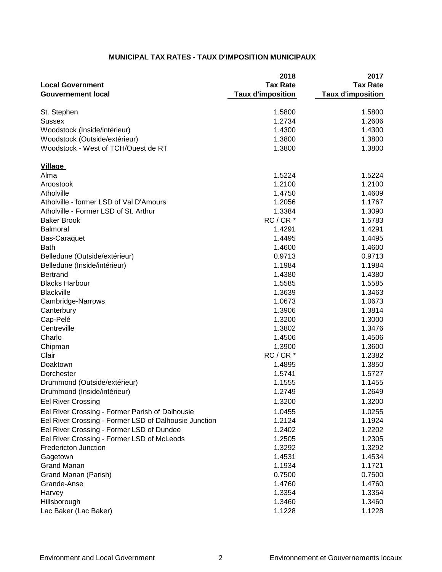## **MUNICIPAL TAX RATES - TAUX D'IMPOSITION MUNICIPAUX**

| <b>Tax Rate</b><br><b>Tax Rate</b><br><b>Local Government</b><br><b>Taux d'imposition</b><br><b>Taux d'imposition</b><br><b>Gouvernement local</b><br>1.5800<br>St. Stephen<br>1.5800<br><b>Sussex</b><br>1.2734<br>1.2606<br>Woodstock (Inside/intérieur)<br>1.4300<br>1.4300<br>Woodstock (Outside/extérieur)<br>1.3800<br>1.3800<br>Woodstock - West of TCH/Ouest de RT<br>1.3800<br>1.3800<br><b>Village</b><br>Alma<br>1.5224<br>1.5224<br>Aroostook<br>1.2100<br>1.2100<br>Atholville<br>1.4750<br>1.4609<br>Atholville - former LSD of Val D'Amours<br>1.2056<br>1.1767<br>Atholville - Former LSD of St. Arthur<br>1.3384<br>1.3090<br>$RC/CR*$<br><b>Baker Brook</b><br>1.5783<br>1.4291<br>1.4291<br><b>Balmoral</b><br>1.4495<br>1.4495<br><b>Bas-Caraquet</b><br><b>Bath</b><br>1.4600<br>1.4600<br>Belledune (Outside/extérieur)<br>0.9713<br>0.9713<br>1.1984<br>1.1984<br>Belledune (Inside/intérieur)<br><b>Bertrand</b><br>1.4380<br>1.4380<br><b>Blacks Harbour</b><br>1.5585<br>1.5585<br><b>Blackville</b><br>1.3639<br>1.3463<br>1.0673<br>1.0673<br>Cambridge-Narrows<br>1.3906<br>1.3814<br>Canterbury<br>Cap-Pelé<br>1.3200<br>1.3000<br>Centreville<br>1.3802<br>1.3476<br>Charlo<br>1.4506<br>1.4506<br>Chipman<br>1.3900<br>1.3600<br>Clair<br>$RC/CR*$<br>1.2382<br>Doaktown<br>1.4895<br>1.3850<br>1.5741<br>Dorchester<br>1.5727<br>1.1555<br>1.1455<br>Drummond (Outside/extérieur)<br>1.2649<br>1.2749<br>Drummond (Inside/intérieur)<br><b>Eel River Crossing</b><br>1.3200<br>1.3200<br>Eel River Crossing - Former Parish of Dalhousie<br>1.0455<br>1.0255<br>Eel River Crossing - Former LSD of Dalhousie Junction<br>1.2124<br>1.1924<br>Eel River Crossing - Former LSD of Dundee<br>1.2402<br>1.2202<br>Eel River Crossing - Former LSD of McLeods<br>1.2505<br>1.2305<br>Fredericton Junction<br>1.3292<br>1.3292<br>1.4531<br>1.4534<br>Gagetown<br><b>Grand Manan</b><br>1.1934<br>1.1721<br>Grand Manan (Parish)<br>0.7500<br>0.7500<br>1.4760<br>Grande-Anse<br>1.4760<br>1.3354<br>1.3354<br>Harvey<br>Hillsborough<br>1.3460<br>1.3460<br>Lac Baker (Lac Baker)<br>1.1228<br>1.1228 | 2018 | 2017 |
|-----------------------------------------------------------------------------------------------------------------------------------------------------------------------------------------------------------------------------------------------------------------------------------------------------------------------------------------------------------------------------------------------------------------------------------------------------------------------------------------------------------------------------------------------------------------------------------------------------------------------------------------------------------------------------------------------------------------------------------------------------------------------------------------------------------------------------------------------------------------------------------------------------------------------------------------------------------------------------------------------------------------------------------------------------------------------------------------------------------------------------------------------------------------------------------------------------------------------------------------------------------------------------------------------------------------------------------------------------------------------------------------------------------------------------------------------------------------------------------------------------------------------------------------------------------------------------------------------------------------------------------------------------------------------------------------------------------------------------------------------------------------------------------------------------------------------------------------------------------------------------------------------------------------------------------------------------------------------------------------------------------------------------------------------------------------------------------------------------------------------------------|------|------|
|                                                                                                                                                                                                                                                                                                                                                                                                                                                                                                                                                                                                                                                                                                                                                                                                                                                                                                                                                                                                                                                                                                                                                                                                                                                                                                                                                                                                                                                                                                                                                                                                                                                                                                                                                                                                                                                                                                                                                                                                                                                                                                                                   |      |      |
|                                                                                                                                                                                                                                                                                                                                                                                                                                                                                                                                                                                                                                                                                                                                                                                                                                                                                                                                                                                                                                                                                                                                                                                                                                                                                                                                                                                                                                                                                                                                                                                                                                                                                                                                                                                                                                                                                                                                                                                                                                                                                                                                   |      |      |
|                                                                                                                                                                                                                                                                                                                                                                                                                                                                                                                                                                                                                                                                                                                                                                                                                                                                                                                                                                                                                                                                                                                                                                                                                                                                                                                                                                                                                                                                                                                                                                                                                                                                                                                                                                                                                                                                                                                                                                                                                                                                                                                                   |      |      |
|                                                                                                                                                                                                                                                                                                                                                                                                                                                                                                                                                                                                                                                                                                                                                                                                                                                                                                                                                                                                                                                                                                                                                                                                                                                                                                                                                                                                                                                                                                                                                                                                                                                                                                                                                                                                                                                                                                                                                                                                                                                                                                                                   |      |      |
|                                                                                                                                                                                                                                                                                                                                                                                                                                                                                                                                                                                                                                                                                                                                                                                                                                                                                                                                                                                                                                                                                                                                                                                                                                                                                                                                                                                                                                                                                                                                                                                                                                                                                                                                                                                                                                                                                                                                                                                                                                                                                                                                   |      |      |
|                                                                                                                                                                                                                                                                                                                                                                                                                                                                                                                                                                                                                                                                                                                                                                                                                                                                                                                                                                                                                                                                                                                                                                                                                                                                                                                                                                                                                                                                                                                                                                                                                                                                                                                                                                                                                                                                                                                                                                                                                                                                                                                                   |      |      |
|                                                                                                                                                                                                                                                                                                                                                                                                                                                                                                                                                                                                                                                                                                                                                                                                                                                                                                                                                                                                                                                                                                                                                                                                                                                                                                                                                                                                                                                                                                                                                                                                                                                                                                                                                                                                                                                                                                                                                                                                                                                                                                                                   |      |      |
|                                                                                                                                                                                                                                                                                                                                                                                                                                                                                                                                                                                                                                                                                                                                                                                                                                                                                                                                                                                                                                                                                                                                                                                                                                                                                                                                                                                                                                                                                                                                                                                                                                                                                                                                                                                                                                                                                                                                                                                                                                                                                                                                   |      |      |
|                                                                                                                                                                                                                                                                                                                                                                                                                                                                                                                                                                                                                                                                                                                                                                                                                                                                                                                                                                                                                                                                                                                                                                                                                                                                                                                                                                                                                                                                                                                                                                                                                                                                                                                                                                                                                                                                                                                                                                                                                                                                                                                                   |      |      |
|                                                                                                                                                                                                                                                                                                                                                                                                                                                                                                                                                                                                                                                                                                                                                                                                                                                                                                                                                                                                                                                                                                                                                                                                                                                                                                                                                                                                                                                                                                                                                                                                                                                                                                                                                                                                                                                                                                                                                                                                                                                                                                                                   |      |      |
|                                                                                                                                                                                                                                                                                                                                                                                                                                                                                                                                                                                                                                                                                                                                                                                                                                                                                                                                                                                                                                                                                                                                                                                                                                                                                                                                                                                                                                                                                                                                                                                                                                                                                                                                                                                                                                                                                                                                                                                                                                                                                                                                   |      |      |
|                                                                                                                                                                                                                                                                                                                                                                                                                                                                                                                                                                                                                                                                                                                                                                                                                                                                                                                                                                                                                                                                                                                                                                                                                                                                                                                                                                                                                                                                                                                                                                                                                                                                                                                                                                                                                                                                                                                                                                                                                                                                                                                                   |      |      |
|                                                                                                                                                                                                                                                                                                                                                                                                                                                                                                                                                                                                                                                                                                                                                                                                                                                                                                                                                                                                                                                                                                                                                                                                                                                                                                                                                                                                                                                                                                                                                                                                                                                                                                                                                                                                                                                                                                                                                                                                                                                                                                                                   |      |      |
|                                                                                                                                                                                                                                                                                                                                                                                                                                                                                                                                                                                                                                                                                                                                                                                                                                                                                                                                                                                                                                                                                                                                                                                                                                                                                                                                                                                                                                                                                                                                                                                                                                                                                                                                                                                                                                                                                                                                                                                                                                                                                                                                   |      |      |
|                                                                                                                                                                                                                                                                                                                                                                                                                                                                                                                                                                                                                                                                                                                                                                                                                                                                                                                                                                                                                                                                                                                                                                                                                                                                                                                                                                                                                                                                                                                                                                                                                                                                                                                                                                                                                                                                                                                                                                                                                                                                                                                                   |      |      |
|                                                                                                                                                                                                                                                                                                                                                                                                                                                                                                                                                                                                                                                                                                                                                                                                                                                                                                                                                                                                                                                                                                                                                                                                                                                                                                                                                                                                                                                                                                                                                                                                                                                                                                                                                                                                                                                                                                                                                                                                                                                                                                                                   |      |      |
|                                                                                                                                                                                                                                                                                                                                                                                                                                                                                                                                                                                                                                                                                                                                                                                                                                                                                                                                                                                                                                                                                                                                                                                                                                                                                                                                                                                                                                                                                                                                                                                                                                                                                                                                                                                                                                                                                                                                                                                                                                                                                                                                   |      |      |
|                                                                                                                                                                                                                                                                                                                                                                                                                                                                                                                                                                                                                                                                                                                                                                                                                                                                                                                                                                                                                                                                                                                                                                                                                                                                                                                                                                                                                                                                                                                                                                                                                                                                                                                                                                                                                                                                                                                                                                                                                                                                                                                                   |      |      |
|                                                                                                                                                                                                                                                                                                                                                                                                                                                                                                                                                                                                                                                                                                                                                                                                                                                                                                                                                                                                                                                                                                                                                                                                                                                                                                                                                                                                                                                                                                                                                                                                                                                                                                                                                                                                                                                                                                                                                                                                                                                                                                                                   |      |      |
|                                                                                                                                                                                                                                                                                                                                                                                                                                                                                                                                                                                                                                                                                                                                                                                                                                                                                                                                                                                                                                                                                                                                                                                                                                                                                                                                                                                                                                                                                                                                                                                                                                                                                                                                                                                                                                                                                                                                                                                                                                                                                                                                   |      |      |
|                                                                                                                                                                                                                                                                                                                                                                                                                                                                                                                                                                                                                                                                                                                                                                                                                                                                                                                                                                                                                                                                                                                                                                                                                                                                                                                                                                                                                                                                                                                                                                                                                                                                                                                                                                                                                                                                                                                                                                                                                                                                                                                                   |      |      |
|                                                                                                                                                                                                                                                                                                                                                                                                                                                                                                                                                                                                                                                                                                                                                                                                                                                                                                                                                                                                                                                                                                                                                                                                                                                                                                                                                                                                                                                                                                                                                                                                                                                                                                                                                                                                                                                                                                                                                                                                                                                                                                                                   |      |      |
|                                                                                                                                                                                                                                                                                                                                                                                                                                                                                                                                                                                                                                                                                                                                                                                                                                                                                                                                                                                                                                                                                                                                                                                                                                                                                                                                                                                                                                                                                                                                                                                                                                                                                                                                                                                                                                                                                                                                                                                                                                                                                                                                   |      |      |
|                                                                                                                                                                                                                                                                                                                                                                                                                                                                                                                                                                                                                                                                                                                                                                                                                                                                                                                                                                                                                                                                                                                                                                                                                                                                                                                                                                                                                                                                                                                                                                                                                                                                                                                                                                                                                                                                                                                                                                                                                                                                                                                                   |      |      |
|                                                                                                                                                                                                                                                                                                                                                                                                                                                                                                                                                                                                                                                                                                                                                                                                                                                                                                                                                                                                                                                                                                                                                                                                                                                                                                                                                                                                                                                                                                                                                                                                                                                                                                                                                                                                                                                                                                                                                                                                                                                                                                                                   |      |      |
|                                                                                                                                                                                                                                                                                                                                                                                                                                                                                                                                                                                                                                                                                                                                                                                                                                                                                                                                                                                                                                                                                                                                                                                                                                                                                                                                                                                                                                                                                                                                                                                                                                                                                                                                                                                                                                                                                                                                                                                                                                                                                                                                   |      |      |
|                                                                                                                                                                                                                                                                                                                                                                                                                                                                                                                                                                                                                                                                                                                                                                                                                                                                                                                                                                                                                                                                                                                                                                                                                                                                                                                                                                                                                                                                                                                                                                                                                                                                                                                                                                                                                                                                                                                                                                                                                                                                                                                                   |      |      |
|                                                                                                                                                                                                                                                                                                                                                                                                                                                                                                                                                                                                                                                                                                                                                                                                                                                                                                                                                                                                                                                                                                                                                                                                                                                                                                                                                                                                                                                                                                                                                                                                                                                                                                                                                                                                                                                                                                                                                                                                                                                                                                                                   |      |      |
|                                                                                                                                                                                                                                                                                                                                                                                                                                                                                                                                                                                                                                                                                                                                                                                                                                                                                                                                                                                                                                                                                                                                                                                                                                                                                                                                                                                                                                                                                                                                                                                                                                                                                                                                                                                                                                                                                                                                                                                                                                                                                                                                   |      |      |
|                                                                                                                                                                                                                                                                                                                                                                                                                                                                                                                                                                                                                                                                                                                                                                                                                                                                                                                                                                                                                                                                                                                                                                                                                                                                                                                                                                                                                                                                                                                                                                                                                                                                                                                                                                                                                                                                                                                                                                                                                                                                                                                                   |      |      |
|                                                                                                                                                                                                                                                                                                                                                                                                                                                                                                                                                                                                                                                                                                                                                                                                                                                                                                                                                                                                                                                                                                                                                                                                                                                                                                                                                                                                                                                                                                                                                                                                                                                                                                                                                                                                                                                                                                                                                                                                                                                                                                                                   |      |      |
|                                                                                                                                                                                                                                                                                                                                                                                                                                                                                                                                                                                                                                                                                                                                                                                                                                                                                                                                                                                                                                                                                                                                                                                                                                                                                                                                                                                                                                                                                                                                                                                                                                                                                                                                                                                                                                                                                                                                                                                                                                                                                                                                   |      |      |
|                                                                                                                                                                                                                                                                                                                                                                                                                                                                                                                                                                                                                                                                                                                                                                                                                                                                                                                                                                                                                                                                                                                                                                                                                                                                                                                                                                                                                                                                                                                                                                                                                                                                                                                                                                                                                                                                                                                                                                                                                                                                                                                                   |      |      |
|                                                                                                                                                                                                                                                                                                                                                                                                                                                                                                                                                                                                                                                                                                                                                                                                                                                                                                                                                                                                                                                                                                                                                                                                                                                                                                                                                                                                                                                                                                                                                                                                                                                                                                                                                                                                                                                                                                                                                                                                                                                                                                                                   |      |      |
|                                                                                                                                                                                                                                                                                                                                                                                                                                                                                                                                                                                                                                                                                                                                                                                                                                                                                                                                                                                                                                                                                                                                                                                                                                                                                                                                                                                                                                                                                                                                                                                                                                                                                                                                                                                                                                                                                                                                                                                                                                                                                                                                   |      |      |
|                                                                                                                                                                                                                                                                                                                                                                                                                                                                                                                                                                                                                                                                                                                                                                                                                                                                                                                                                                                                                                                                                                                                                                                                                                                                                                                                                                                                                                                                                                                                                                                                                                                                                                                                                                                                                                                                                                                                                                                                                                                                                                                                   |      |      |
|                                                                                                                                                                                                                                                                                                                                                                                                                                                                                                                                                                                                                                                                                                                                                                                                                                                                                                                                                                                                                                                                                                                                                                                                                                                                                                                                                                                                                                                                                                                                                                                                                                                                                                                                                                                                                                                                                                                                                                                                                                                                                                                                   |      |      |
|                                                                                                                                                                                                                                                                                                                                                                                                                                                                                                                                                                                                                                                                                                                                                                                                                                                                                                                                                                                                                                                                                                                                                                                                                                                                                                                                                                                                                                                                                                                                                                                                                                                                                                                                                                                                                                                                                                                                                                                                                                                                                                                                   |      |      |
|                                                                                                                                                                                                                                                                                                                                                                                                                                                                                                                                                                                                                                                                                                                                                                                                                                                                                                                                                                                                                                                                                                                                                                                                                                                                                                                                                                                                                                                                                                                                                                                                                                                                                                                                                                                                                                                                                                                                                                                                                                                                                                                                   |      |      |
|                                                                                                                                                                                                                                                                                                                                                                                                                                                                                                                                                                                                                                                                                                                                                                                                                                                                                                                                                                                                                                                                                                                                                                                                                                                                                                                                                                                                                                                                                                                                                                                                                                                                                                                                                                                                                                                                                                                                                                                                                                                                                                                                   |      |      |
|                                                                                                                                                                                                                                                                                                                                                                                                                                                                                                                                                                                                                                                                                                                                                                                                                                                                                                                                                                                                                                                                                                                                                                                                                                                                                                                                                                                                                                                                                                                                                                                                                                                                                                                                                                                                                                                                                                                                                                                                                                                                                                                                   |      |      |
|                                                                                                                                                                                                                                                                                                                                                                                                                                                                                                                                                                                                                                                                                                                                                                                                                                                                                                                                                                                                                                                                                                                                                                                                                                                                                                                                                                                                                                                                                                                                                                                                                                                                                                                                                                                                                                                                                                                                                                                                                                                                                                                                   |      |      |
|                                                                                                                                                                                                                                                                                                                                                                                                                                                                                                                                                                                                                                                                                                                                                                                                                                                                                                                                                                                                                                                                                                                                                                                                                                                                                                                                                                                                                                                                                                                                                                                                                                                                                                                                                                                                                                                                                                                                                                                                                                                                                                                                   |      |      |
|                                                                                                                                                                                                                                                                                                                                                                                                                                                                                                                                                                                                                                                                                                                                                                                                                                                                                                                                                                                                                                                                                                                                                                                                                                                                                                                                                                                                                                                                                                                                                                                                                                                                                                                                                                                                                                                                                                                                                                                                                                                                                                                                   |      |      |
|                                                                                                                                                                                                                                                                                                                                                                                                                                                                                                                                                                                                                                                                                                                                                                                                                                                                                                                                                                                                                                                                                                                                                                                                                                                                                                                                                                                                                                                                                                                                                                                                                                                                                                                                                                                                                                                                                                                                                                                                                                                                                                                                   |      |      |
|                                                                                                                                                                                                                                                                                                                                                                                                                                                                                                                                                                                                                                                                                                                                                                                                                                                                                                                                                                                                                                                                                                                                                                                                                                                                                                                                                                                                                                                                                                                                                                                                                                                                                                                                                                                                                                                                                                                                                                                                                                                                                                                                   |      |      |
|                                                                                                                                                                                                                                                                                                                                                                                                                                                                                                                                                                                                                                                                                                                                                                                                                                                                                                                                                                                                                                                                                                                                                                                                                                                                                                                                                                                                                                                                                                                                                                                                                                                                                                                                                                                                                                                                                                                                                                                                                                                                                                                                   |      |      |
|                                                                                                                                                                                                                                                                                                                                                                                                                                                                                                                                                                                                                                                                                                                                                                                                                                                                                                                                                                                                                                                                                                                                                                                                                                                                                                                                                                                                                                                                                                                                                                                                                                                                                                                                                                                                                                                                                                                                                                                                                                                                                                                                   |      |      |